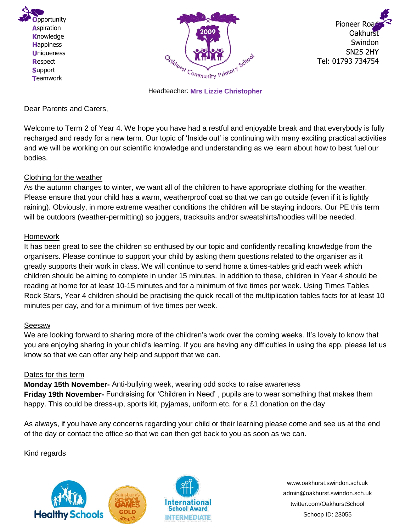





Headteacher: **Mrs Lizzie Christopher**

Dear Parents and Carers,

Welcome to Term 2 of Year 4. We hope you have had a restful and enjoyable break and that everybody is fully recharged and ready for a new term. Our topic of 'Inside out' is continuing with many exciting practical activities and we will be working on our scientific knowledge and understanding as we learn about how to best fuel our bodies.

## Clothing for the weather

As the autumn changes to winter, we want all of the children to have appropriate clothing for the weather. Please ensure that your child has a warm, weatherproof coat so that we can go outside (even if it is lightly raining). Obviously, in more extreme weather conditions the children will be staying indoors. Our PE this term will be outdoors (weather-permitting) so joggers, tracksuits and/or sweatshirts/hoodies will be needed.

## Homework

It has been great to see the children so enthused by our topic and confidently recalling knowledge from the organisers. Please continue to support your child by asking them questions related to the organiser as it greatly supports their work in class. We will continue to send home a times-tables grid each week which children should be aiming to complete in under 15 minutes. In addition to these, children in Year 4 should be reading at home for at least 10-15 minutes and for a minimum of five times per week. Using Times Tables Rock Stars, Year 4 children should be practising the quick recall of the multiplication tables facts for at least 10 minutes per day, and for a minimum of five times per week.

## Seesaw

We are looking forward to sharing more of the children's work over the coming weeks. It's lovely to know that you are enjoying sharing in your child's learning. If you are having any difficulties in using the app, please let us know so that we can offer any help and support that we can.

## Dates for this term

**Monday 15th November-** Anti-bullying week, wearing odd socks to raise awareness **Friday 19th November-** Fundraising for 'Children in Need' , pupils are to wear something that makes them happy. This could be dress-up, sports kit, pyjamas, uniform etc. for a £1 donation on the day

As always, if you have any concerns regarding your child or their learning please come and see us at the end of the day or contact the office so that we can then get back to you as soon as we can.

Kind regards





www.oakhurst.swindon.sch.uk admin@oakhurst.swindon.sch.uk twitter.com/OakhurstSchool Schoop ID: 23055